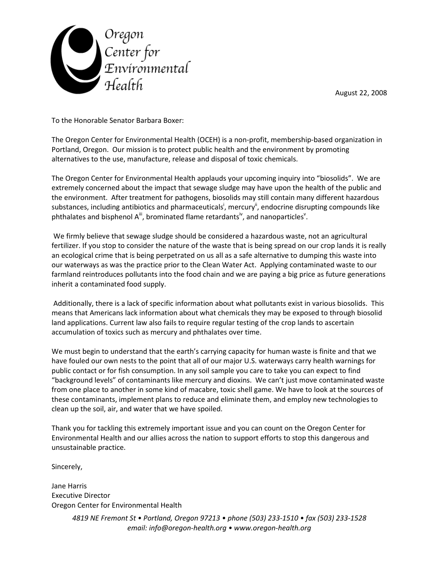



To the Honorable Senator Barbara Boxer:

The Oregon Center for Environmental Health (OCEH) is a non-profit, membership-based organization in Portland, Oregon. Our mission is to protect public health and the environment by promoting alternatives to the use, manufacture, release and disposal of toxic chemicals.

The Oregon Center for Environmental Health applauds your upcoming inquiry into "biosolids". We are extremely concerned about the impact that sewage sludge may have upon the health of the public and the environment. After treatment for pathogens, biosolids may still contain many different hazardous substances, including antibiotics and pharmaceuticals<sup>i</sup>, mercury<sup>ii</sup>, endocrine disrupting compounds like phthalates and bisphenol  $A^{iii}$ , brominated flame retardants<sup>iv</sup>, and nanoparticles<sup>v</sup>.

 We firmly believe that sewage sludge should be considered a hazardous waste, not an agricultural fertilizer. If you stop to consider the nature of the waste that is being spread on our crop lands it is really an ecological crime that is being perpetrated on us all as a safe alternative to dumping this waste into our waterways as was the practice prior to the Clean Water Act. Applying contaminated waste to our farmland reintroduces pollutants into the food chain and we are paying a big price as future generations inherit a contaminated food supply.

 Additionally, there is a lack of specific information about what pollutants exist in various biosolids. This means that Americans lack information about what chemicals they may be exposed to through biosolid land applications. Current law also fails to require regular testing of the crop lands to ascertain accumulation of toxics such as mercury and phthalates over time.

We must begin to understand that the earth's carrying capacity for human waste is finite and that we have fouled our own nests to the point that all of our major U.S. waterways carry health warnings for public contact or for fish consumption. In any soil sample you care to take you can expect to find "background levels" of contaminants like mercury and dioxins. We can't just move contaminated waste from one place to another in some kind of macabre, toxic shell game. We have to look at the sources of these contaminants, implement plans to reduce and eliminate them, and employ new technologies to clean up the soil, air, and water that we have spoiled.

Thank you for tackling this extremely important issue and you can count on the Oregon Center for Environmental Health and our allies across the nation to support efforts to stop this dangerous and unsustainable practice.

Sincerely,

Jane Harris Executive Director Oregon Center for Environmental Health

> 4819 NE Fremont St • Portland, Oregon 97213 • phone (503) 233-1510 • fax (503) 233-1528 email: info@oregon-health.org • www.oregon-health.org